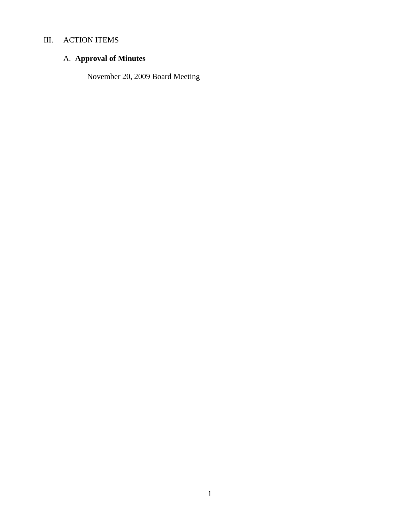# III. ACTION ITEMS

# A. **Approval of Minutes**

November 20, 2009 Board Meeting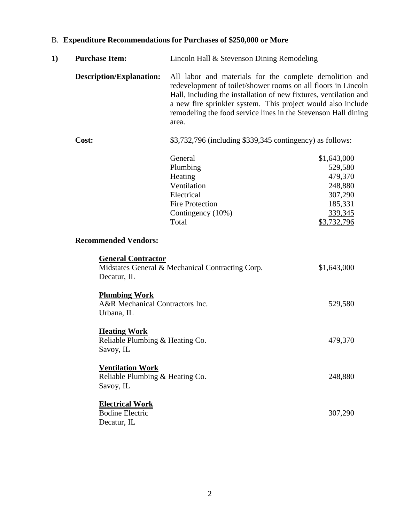| 1) | <b>Purchase Item:</b>                                                   | Lincoln Hall & Stevenson Dining Remodeling                                                                                                                                                                                                                                                                                               |                                                                                              |  |  |
|----|-------------------------------------------------------------------------|------------------------------------------------------------------------------------------------------------------------------------------------------------------------------------------------------------------------------------------------------------------------------------------------------------------------------------------|----------------------------------------------------------------------------------------------|--|--|
|    | <b>Description/Explanation:</b>                                         | All labor and materials for the complete demolition and<br>redevelopment of toilet/shower rooms on all floors in Lincoln<br>Hall, including the installation of new fixtures, ventilation and<br>a new fire sprinkler system. This project would also include<br>remodeling the food service lines in the Stevenson Hall dining<br>area. |                                                                                              |  |  |
|    | Cost:                                                                   |                                                                                                                                                                                                                                                                                                                                          | \$3,732,796 (including \$339,345 contingency) as follows:                                    |  |  |
|    |                                                                         | General<br>Plumbing<br>Heating<br>Ventilation<br>Electrical<br><b>Fire Protection</b><br>Contingency (10%)<br>Total                                                                                                                                                                                                                      | \$1,643,000<br>529,580<br>479,370<br>248,880<br>307,290<br>185,331<br>339,345<br>\$3,732,796 |  |  |
|    | <b>Recommended Vendors:</b>                                             |                                                                                                                                                                                                                                                                                                                                          |                                                                                              |  |  |
|    | <b>General Contractor</b><br>Decatur, IL                                | Midstates General & Mechanical Contracting Corp.                                                                                                                                                                                                                                                                                         | \$1,643,000                                                                                  |  |  |
|    | <b>Plumbing Work</b><br>A&R Mechanical Contractors Inc.<br>Urbana, IL   |                                                                                                                                                                                                                                                                                                                                          | 529,580                                                                                      |  |  |
|    | <b>Heating Work</b><br>Reliable Plumbing & Heating Co.<br>Savoy, IL     |                                                                                                                                                                                                                                                                                                                                          | 479,370                                                                                      |  |  |
|    | <b>Ventilation Work</b><br>Reliable Plumbing & Heating Co.<br>Savoy, IL |                                                                                                                                                                                                                                                                                                                                          | 248,880                                                                                      |  |  |
|    | <b>Electrical Work</b><br><b>Bodine Electric</b><br>Decatur, IL         |                                                                                                                                                                                                                                                                                                                                          | 307,290                                                                                      |  |  |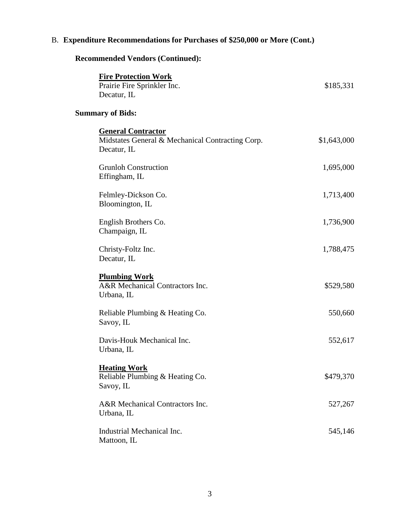# **Recommended Vendors (Continued):**

| <b>Fire Protection Work</b>                                           |             |
|-----------------------------------------------------------------------|-------------|
| Prairie Fire Sprinkler Inc.                                           | \$185,331   |
| Decatur, IL                                                           |             |
| <b>Summary of Bids:</b>                                               |             |
| <b>General Contractor</b>                                             |             |
| Midstates General & Mechanical Contracting Corp.<br>Decatur, IL       | \$1,643,000 |
| <b>Grunloh Construction</b><br>Effingham, IL                          | 1,695,000   |
| Felmley-Dickson Co.<br>Bloomington, IL                                | 1,713,400   |
| English Brothers Co.<br>Champaign, IL                                 | 1,736,900   |
| Christy-Foltz Inc.<br>Decatur, IL                                     | 1,788,475   |
| <b>Plumbing Work</b><br>A&R Mechanical Contractors Inc.<br>Urbana, IL | \$529,580   |
| Reliable Plumbing & Heating Co.<br>Savoy, IL                          | 550,660     |
| Davis-Houk Mechanical Inc.<br>Urbana, IL                              | 552,617     |
| <b>Heating Work</b><br>Reliable Plumbing & Heating Co.<br>Savoy, IL   | \$479,370   |
| A&R Mechanical Contractors Inc.<br>Urbana, IL                         | 527,267     |
| Industrial Mechanical Inc.<br>Mattoon, IL                             | 545,146     |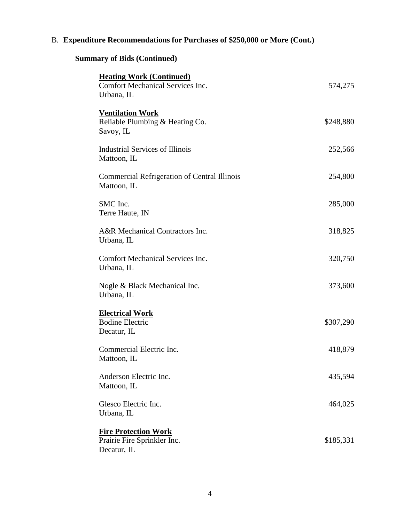# **Summary of Bids (Continued)**

| <b>Heating Work (Continued)</b><br><b>Comfort Mechanical Services Inc.</b><br>Urbana, IL | 574,275   |
|------------------------------------------------------------------------------------------|-----------|
| <b>Ventilation Work</b><br>Reliable Plumbing & Heating Co.<br>Savoy, IL                  | \$248,880 |
| Industrial Services of Illinois<br>Mattoon, IL                                           | 252,566   |
| <b>Commercial Refrigeration of Central Illinois</b><br>Mattoon, IL                       | 254,800   |
| SMC Inc.<br>Terre Haute, IN                                                              | 285,000   |
| A&R Mechanical Contractors Inc.<br>Urbana, IL                                            | 318,825   |
| <b>Comfort Mechanical Services Inc.</b><br>Urbana, IL                                    | 320,750   |
| Nogle & Black Mechanical Inc.<br>Urbana, IL                                              | 373,600   |
| <b>Electrical Work</b><br><b>Bodine Electric</b><br>Decatur, IL                          | \$307,290 |
| Commercial Electric Inc.<br>Mattoon, IL                                                  | 418,879   |
| Anderson Electric Inc.<br>Mattoon, IL                                                    | 435,594   |
| Glesco Electric Inc.<br>Urbana, IL                                                       | 464,025   |
| <b>Fire Protection Work</b><br>Prairie Fire Sprinkler Inc.<br>Decatur, IL                | \$185,331 |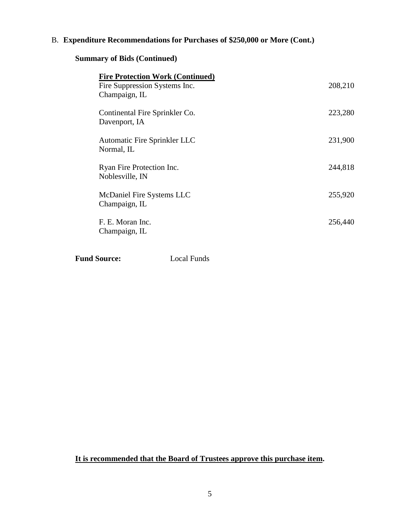## **Summary of Bids (Continued)**

| <b>Fire Protection Work (Continued)</b><br>Fire Suppression Systems Inc.<br>Champaign, IL | 208,210 |
|-------------------------------------------------------------------------------------------|---------|
| Continental Fire Sprinkler Co.<br>Davenport, IA                                           | 223,280 |
| Automatic Fire Sprinkler LLC<br>Normal, IL                                                | 231,900 |
| Ryan Fire Protection Inc.<br>Noblesville, IN                                              | 244,818 |
| McDaniel Fire Systems LLC<br>Champaign, IL                                                | 255,920 |
| F. E. Moran Inc.<br>Champaign, IL                                                         | 256,440 |

**Fund Source:** Local Funds

**It is recommended that the Board of Trustees approve this purchase item.**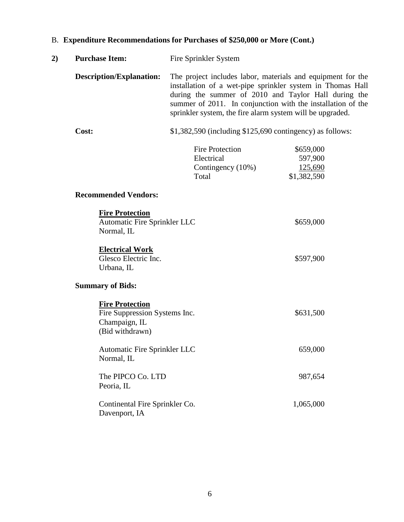| 2) | <b>Purchase Item:</b>                                                                       | Fire Sprinkler System                                                                                                                                                                                                                                                                                         |                                                |  |
|----|---------------------------------------------------------------------------------------------|---------------------------------------------------------------------------------------------------------------------------------------------------------------------------------------------------------------------------------------------------------------------------------------------------------------|------------------------------------------------|--|
|    | <b>Description/Explanation:</b>                                                             | The project includes labor, materials and equipment for the<br>installation of a wet-pipe sprinkler system in Thomas Hall<br>during the summer of 2010 and Taylor Hall during the<br>summer of 2011. In conjunction with the installation of the<br>sprinkler system, the fire alarm system will be upgraded. |                                                |  |
|    | Cost:                                                                                       | $$1,382,590$ (including $$125,690$ contingency) as follows:                                                                                                                                                                                                                                                   |                                                |  |
|    |                                                                                             | <b>Fire Protection</b><br>Electrical<br>Contingency (10%)<br>Total                                                                                                                                                                                                                                            | \$659,000<br>597,900<br>125,690<br>\$1,382,590 |  |
|    | <b>Recommended Vendors:</b>                                                                 |                                                                                                                                                                                                                                                                                                               |                                                |  |
|    | <b>Fire Protection</b><br>Automatic Fire Sprinkler LLC<br>Normal, IL                        |                                                                                                                                                                                                                                                                                                               | \$659,000                                      |  |
|    | <b>Electrical Work</b><br>Glesco Electric Inc.<br>Urbana, IL                                |                                                                                                                                                                                                                                                                                                               | \$597,900                                      |  |
|    | <b>Summary of Bids:</b>                                                                     |                                                                                                                                                                                                                                                                                                               |                                                |  |
|    | <b>Fire Protection</b><br>Fire Suppression Systems Inc.<br>Champaign, IL<br>(Bid withdrawn) |                                                                                                                                                                                                                                                                                                               | \$631,500                                      |  |
|    | Automatic Fire Sprinkler LLC<br>Normal, IL                                                  |                                                                                                                                                                                                                                                                                                               | 659,000                                        |  |
|    | The PIPCO Co. LTD<br>Peoria, IL                                                             |                                                                                                                                                                                                                                                                                                               | 987,654                                        |  |
|    | Continental Fire Sprinkler Co.<br>Davenport, IA                                             |                                                                                                                                                                                                                                                                                                               | 1,065,000                                      |  |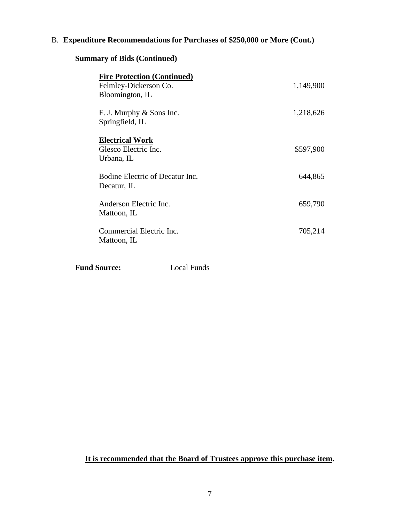# **Summary of Bids (Continued)**

| <b>Fire Protection (Continued)</b><br>Felmley-Dickerson Co.<br>Bloomington, IL | 1,149,900 |
|--------------------------------------------------------------------------------|-----------|
| F. J. Murphy & Sons Inc.<br>Springfield, IL                                    | 1,218,626 |
| <b>Electrical Work</b><br>Glesco Electric Inc.<br>Urbana, IL                   | \$597,900 |
| Bodine Electric of Decatur Inc.<br>Decatur, IL                                 | 644,865   |
| Anderson Electric Inc.<br>Mattoon, IL                                          | 659,790   |
| Commercial Electric Inc.<br>Mattoon, IL                                        | 705,214   |

**Fund Source:** Local Funds

**It is recommended that the Board of Trustees approve this purchase item.**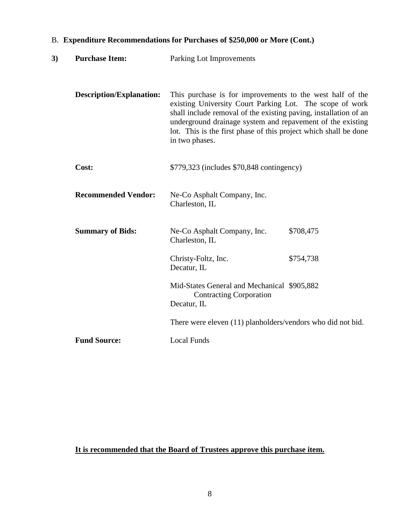| 3) | <b>Purchase Item:</b>           | Parking Lot Improvements                                                                                                                                                                                                                                                                                                                      |           |
|----|---------------------------------|-----------------------------------------------------------------------------------------------------------------------------------------------------------------------------------------------------------------------------------------------------------------------------------------------------------------------------------------------|-----------|
|    | <b>Description/Explanation:</b> | This purchase is for improvements to the west half of the<br>existing University Court Parking Lot. The scope of work<br>shall include removal of the existing paving, installation of an<br>underground drainage system and repavement of the existing<br>lot. This is the first phase of this project which shall be done<br>in two phases. |           |
|    | Cost:                           | \$779,323 (includes \$70,848 contingency)                                                                                                                                                                                                                                                                                                     |           |
|    | <b>Recommended Vendor:</b>      | Ne-Co Asphalt Company, Inc.<br>Charleston, IL                                                                                                                                                                                                                                                                                                 |           |
|    | <b>Summary of Bids:</b>         | Ne-Co Asphalt Company, Inc.<br>Charleston, IL                                                                                                                                                                                                                                                                                                 | \$708,475 |
|    |                                 | Christy-Foltz, Inc.<br>Decatur, IL                                                                                                                                                                                                                                                                                                            | \$754,738 |
|    |                                 | Mid-States General and Mechanical \$905,882<br><b>Contracting Corporation</b><br>Decatur, IL                                                                                                                                                                                                                                                  |           |
|    |                                 | There were eleven (11) planholders/vendors who did not bid.                                                                                                                                                                                                                                                                                   |           |
|    | <b>Fund Source:</b>             | <b>Local Funds</b>                                                                                                                                                                                                                                                                                                                            |           |

**It is recommended that the Board of Trustees approve this purchase item.**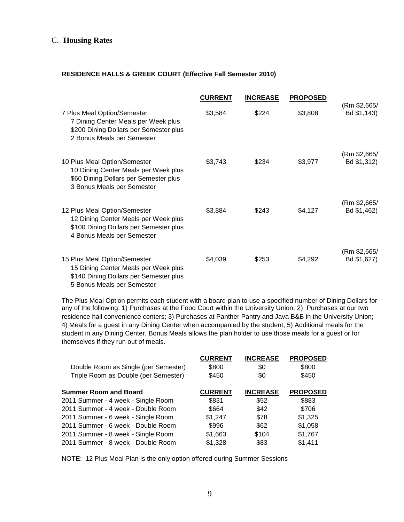#### C. **Housing Rates**

#### **RESIDENCE HALLS & GREEK COURT (Effective Fall Semester 2010)**

|                                                                                                                                              | <b>CURRENT</b> | <b>INCREASE</b> | <b>PROPOSED</b> |                             |
|----------------------------------------------------------------------------------------------------------------------------------------------|----------------|-----------------|-----------------|-----------------------------|
| 7 Plus Meal Option/Semester<br>7 Dining Center Meals per Week plus<br>\$200 Dining Dollars per Semester plus<br>2 Bonus Meals per Semester   | \$3,584        | \$224           | \$3,808         | (Rm \$2,665/<br>Bd \$1,143) |
| 10 Plus Meal Option/Semester<br>10 Dining Center Meals per Week plus<br>\$60 Dining Dollars per Semester plus<br>3 Bonus Meals per Semester  | \$3,743        | \$234           | \$3,977         | (Rm \$2,665/<br>Bd \$1,312) |
| 12 Plus Meal Option/Semester<br>12 Dining Center Meals per Week plus<br>\$100 Dining Dollars per Semester plus<br>4 Bonus Meals per Semester | \$3,884        | \$243           | \$4,127         | (Rm \$2,665/<br>Bd \$1,462) |
| 15 Plus Meal Option/Semester<br>15 Dining Center Meals per Week plus<br>\$140 Dining Dollars per Semester plus<br>5 Bonus Meals per Semester | \$4,039        | \$253           | \$4,292         | (Rm \$2,665/<br>Bd \$1,627) |

The Plus Meal Option permits each student with a board plan to use a specified number of Dining Dollars for any of the following: 1) Purchases at the Food Court within the University Union; 2) Purchases at our two residence hall convenience centers; 3) Purchases at Panther Pantry and Java B&B in the University Union; 4) Meals for a guest in any Dining Center when accompanied by the student; 5) Additional meals for the student in any Dining Center. Bonus Meals allows the plan holder to use those meals for a guest or for themselves if they run out of meals.

|                                      | <b>CURRENT</b> | <b>INCREASE</b> | <b>PROPOSED</b> |
|--------------------------------------|----------------|-----------------|-----------------|
| Double Room as Single (per Semester) | \$800          | \$0             | \$800           |
| Triple Room as Double (per Semester) | \$450          | \$0             | \$450           |
| <b>Summer Room and Board</b>         | <b>CURRENT</b> | <b>INCREASE</b> | <b>PROPOSED</b> |
| 2011 Summer - 4 week - Single Room   | \$831          | \$52            | \$883           |
| 2011 Summer - 4 week - Double Room   | \$664          | \$42            | \$706           |
| 2011 Summer - 6 week - Single Room   | \$1,247        | \$78            | \$1,325         |
| 2011 Summer - 6 week - Double Room   | \$996          | \$62            | \$1,058         |
| 2011 Summer - 8 week - Single Room   | \$1,663        | \$104           | \$1,767         |
| 2011 Summer - 8 week - Double Room   | \$1,328        | \$83            | \$1,411         |

NOTE: 12 Plus Meal Plan is the only option offered during Summer Sessions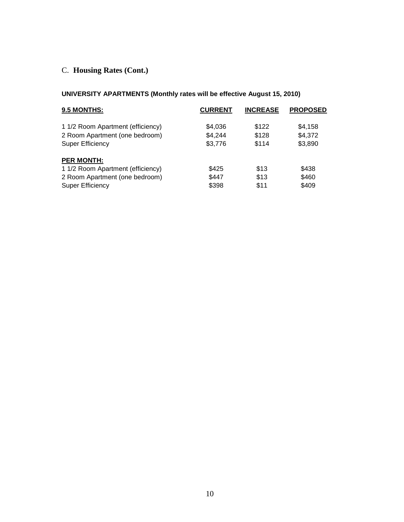# C. **Housing Rates (Cont.)**

## **UNIVERSITY APARTMENTS (Monthly rates will be effective August 15, 2010)**

| 9.5 MONTHS:                       | <b>CURRENT</b> | <b>INCREASE</b> | <b>PROPOSED</b> |
|-----------------------------------|----------------|-----------------|-----------------|
| 1 1/2 Room Apartment (efficiency) | \$4,036        | \$122           | \$4,158         |
| 2 Room Apartment (one bedroom)    | \$4,244        | \$128           | \$4,372         |
| <b>Super Efficiency</b>           | \$3,776        | \$114           | \$3,890         |
| <b>PER MONTH:</b>                 |                |                 |                 |
| 1 1/2 Room Apartment (efficiency) | \$425          | \$13            | \$438           |
| 2 Room Apartment (one bedroom)    | \$447          | \$13            | \$460           |
| <b>Super Efficiency</b>           | \$398          | \$11            | \$409           |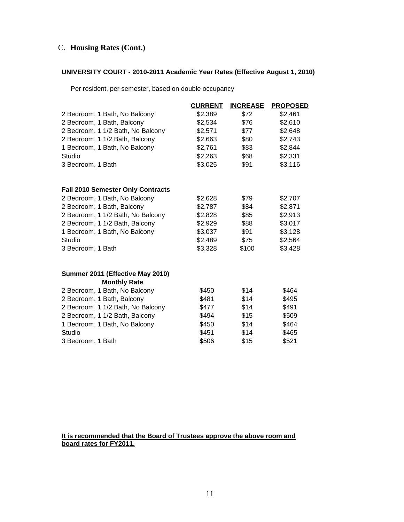### C. **Housing Rates (Cont.)**

#### **UNIVERSITY COURT - 2010-2011 Academic Year Rates (Effective August 1, 2010)**

Per resident, per semester, based on double occupancy

|                                          | <b>CURRENT</b> | <b>INCREASE</b> | <b>PROPOSED</b> |
|------------------------------------------|----------------|-----------------|-----------------|
| 2 Bedroom, 1 Bath, No Balcony            | \$2,389        | \$72            | \$2,461         |
| 2 Bedroom, 1 Bath, Balcony               | \$2,534        | \$76            | \$2,610         |
| 2 Bedroom, 1 1/2 Bath, No Balcony        | \$2,571        | \$77            | \$2,648         |
| 2 Bedroom, 1 1/2 Bath, Balcony           | \$2,663        | \$80            | \$2,743         |
| 1 Bedroom, 1 Bath, No Balcony            | \$2,761        | \$83            | \$2,844         |
| Studio                                   | \$2,263        | \$68            | \$2,331         |
| 3 Bedroom, 1 Bath                        | \$3,025        | \$91            | \$3,116         |
| <b>Fall 2010 Semester Only Contracts</b> |                |                 |                 |
| 2 Bedroom, 1 Bath, No Balcony            | \$2,628        | \$79            | \$2,707         |
| 2 Bedroom, 1 Bath, Balcony               | \$2,787        | \$84            | \$2,871         |
| 2 Bedroom, 1 1/2 Bath, No Balcony        | \$2,828        | \$85            | \$2,913         |
| 2 Bedroom, 1 1/2 Bath, Balcony           | \$2,929        | \$88            | \$3,017         |
| 1 Bedroom, 1 Bath, No Balcony            | \$3,037        | \$91            | \$3,128         |
| Studio                                   | \$2,489        | \$75            | \$2,564         |
| 3 Bedroom, 1 Bath                        | \$3,328        | \$100           | \$3,428         |
| Summer 2011 (Effective May 2010)         |                |                 |                 |
| <b>Monthly Rate</b>                      |                |                 |                 |
| 2 Bedroom, 1 Bath, No Balcony            | \$450          | \$14            | \$464           |
| 2 Bedroom, 1 Bath, Balcony               | \$481          | \$14            | \$495           |
| 2 Bedroom, 1 1/2 Bath, No Balcony        | \$477          | \$14            | \$491           |
| 2 Bedroom, 1 1/2 Bath, Balcony           | \$494          | \$15            | \$509           |
| 1 Bedroom, 1 Bath, No Balcony            | \$450          | \$14            | \$464           |
| Studio                                   | \$451          | \$14            | \$465           |
| 3 Bedroom, 1 Bath                        | \$506          | \$15            | \$521           |

#### **It is recommended that the Board of Trustees approve the above room and board rates for FY2011.**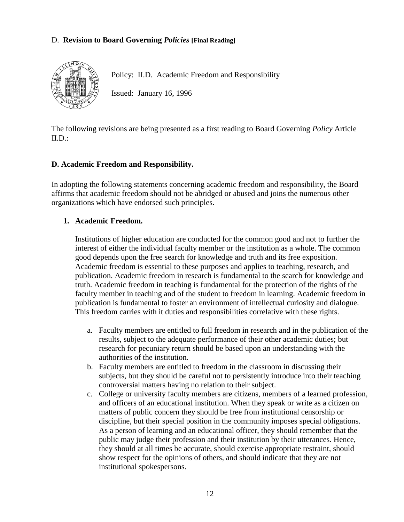## D. **Revision to Board Governing** *Policies* **[Final Reading]**



Policy: II.D. Academic Freedom and Responsibility

Issued: January 16, 1996

The following revisions are being presented as a first reading to Board Governing *Policy* Article  $II.D.:$ 

#### **D. Academic Freedom and Responsibility.**

In adopting the following statements concerning academic freedom and responsibility, the Board affirms that academic freedom should not be abridged or abused and joins the numerous other organizations which have endorsed such principles.

#### **1. Academic Freedom.**

Institutions of higher education are conducted for the common good and not to further the interest of either the individual faculty member or the institution as a whole. The common good depends upon the free search for knowledge and truth and its free exposition. Academic freedom is essential to these purposes and applies to teaching, research, and publication. Academic freedom in research is fundamental to the search for knowledge and truth. Academic freedom in teaching is fundamental for the protection of the rights of the faculty member in teaching and of the student to freedom in learning. Academic freedom in publication is fundamental to foster an environment of intellectual curiosity and dialogue. This freedom carries with it duties and responsibilities correlative with these rights.

- a. Faculty members are entitled to full freedom in research and in the publication of the results, subject to the adequate performance of their other academic duties; but research for pecuniary return should be based upon an understanding with the authorities of the institution.
- b. Faculty members are entitled to freedom in the classroom in discussing their subjects, but they should be careful not to persistently introduce into their teaching controversial matters having no relation to their subject.
- c. College or university faculty members are citizens, members of a learned profession, and officers of an educational institution. When they speak or write as a citizen on matters of public concern they should be free from institutional censorship or discipline, but their special position in the community imposes special obligations. As a person of learning and an educational officer, they should remember that the public may judge their profession and their institution by their utterances. Hence, they should at all times be accurate, should exercise appropriate restraint, should show respect for the opinions of others, and should indicate that they are not institutional spokespersons.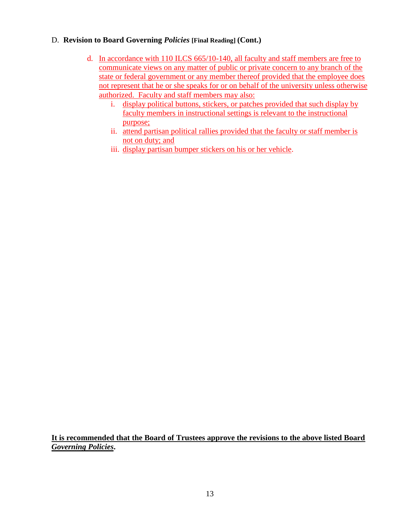## D. **Revision to Board Governing** *Policies* **[Final Reading] (Cont.)**

- d. In accordance with 110 ILCS 665/10-140, all faculty and staff members are free to communicate views on any matter of public or private concern to any branch of the state or federal government or any member thereof provided that the employee does not represent that he or she speaks for or on behalf of the university unless otherwise authorized. Faculty and staff members may also:
	- i. display political buttons, stickers, or patches provided that such display by faculty members in instructional settings is relevant to the instructional purpose;
	- ii. attend partisan political rallies provided that the faculty or staff member is not on duty; and
	- iii. display partisan bumper stickers on his or her vehicle.

**It is recommended that the Board of Trustees approve the revisions to the above listed Board**  *Governing Policies***.**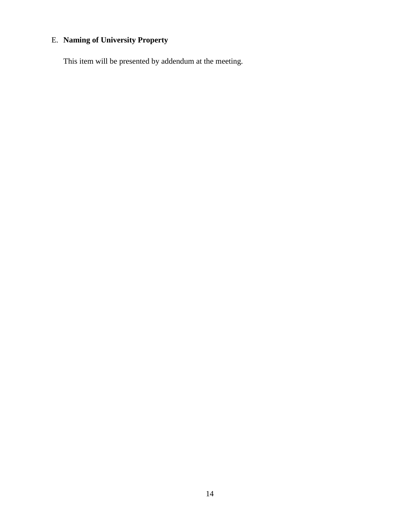# E. **Naming of University Property**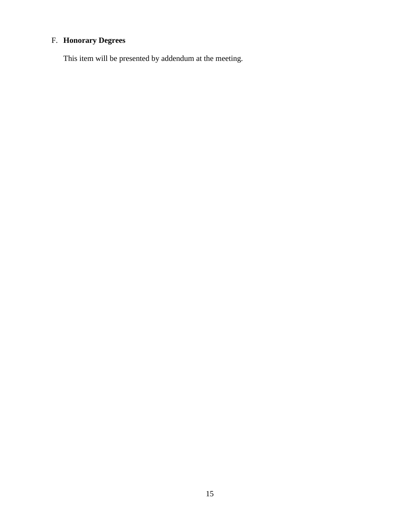# F. **Honorary Degrees**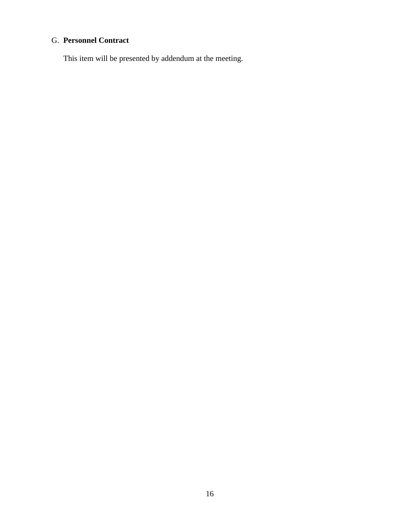# G. **Personnel Contract**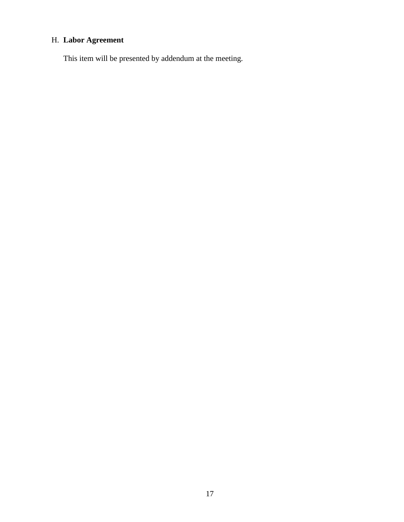# H. **Labor Agreement**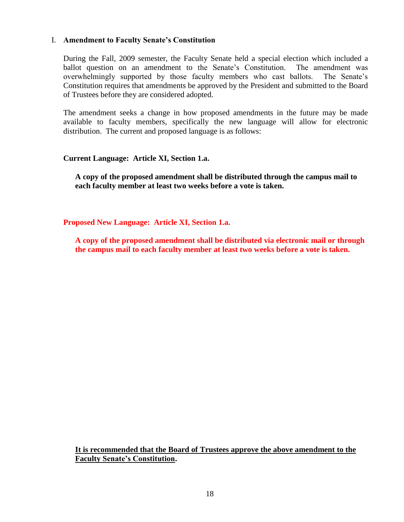#### I. **Amendment to Faculty Senate's Constitution**

During the Fall, 2009 semester, the Faculty Senate held a special election which included a ballot question on an amendment to the Senate's Constitution. The amendment was overwhelmingly supported by those faculty members who cast ballots. The Senate's Constitution requires that amendments be approved by the President and submitted to the Board of Trustees before they are considered adopted.

The amendment seeks a change in how proposed amendments in the future may be made available to faculty members, specifically the new language will allow for electronic distribution. The current and proposed language is as follows:

#### **Current Language: Article XI, Section 1.a.**

**A copy of the proposed amendment shall be distributed through the campus mail to each faculty member at least two weeks before a vote is taken.**

**Proposed New Language: Article XI, Section 1.a.**

**A copy of the proposed amendment shall be distributed via electronic mail or through the campus mail to each faculty member at least two weeks before a vote is taken.**

**It is recommended that the Board of Trustees approve the above amendment to the Faculty Senate's Constitution.**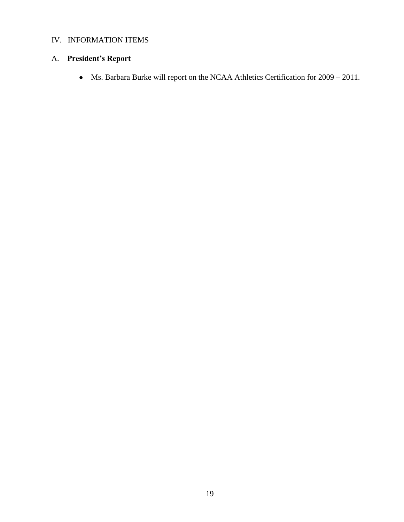# IV. INFORMATION ITEMS

# A. **President's Report**

Ms. Barbara Burke will report on the NCAA Athletics Certification for 2009 – 2011.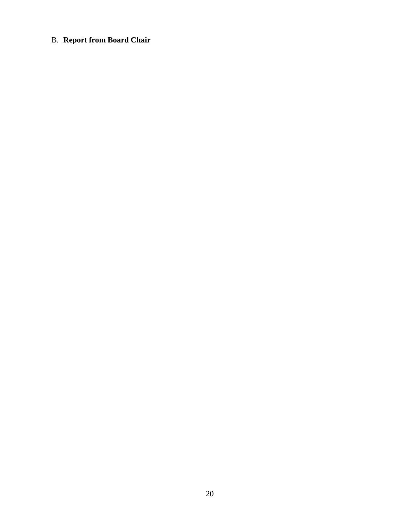# B. **Report from Board Chair**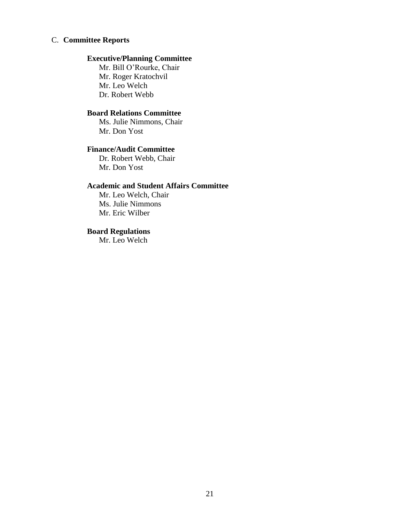#### C. **Committee Reports**

### **Executive/Planning Committee**

Mr. Bill O'Rourke, Chair Mr. Roger Kratochvil Mr. Leo Welch Dr. Robert Webb

## **Board Relations Committee**

Ms. Julie Nimmons, Chair Mr. Don Yost

#### **Finance/Audit Committee**

Dr. Robert Webb, Chair Mr. Don Yost

#### **Academic and Student Affairs Committee**

Mr. Leo Welch, Chair Ms. Julie Nimmons Mr. Eric Wilber

# **Board Regulations**

Mr. Leo Welch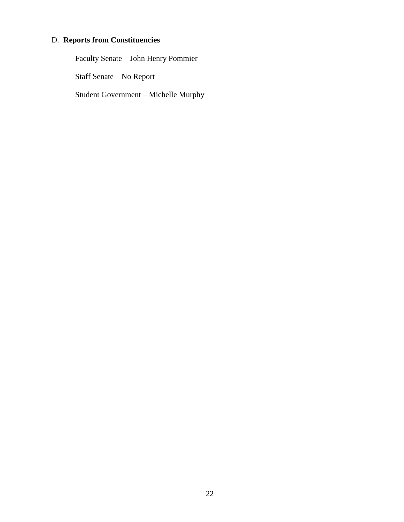# D. **Reports from Constituencies**

Faculty Senate – John Henry Pommier

Staff Senate – No Report

Student Government – Michelle Murphy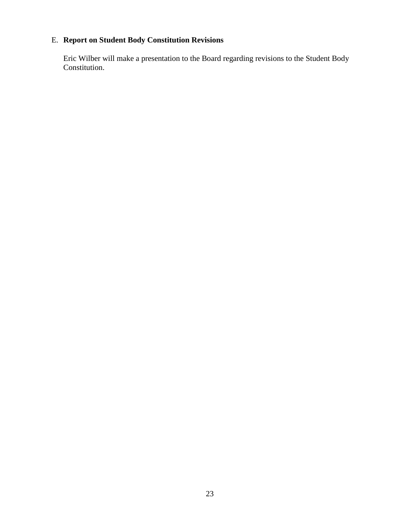# E. **Report on Student Body Constitution Revisions**

Eric Wilber will make a presentation to the Board regarding revisions to the Student Body Constitution.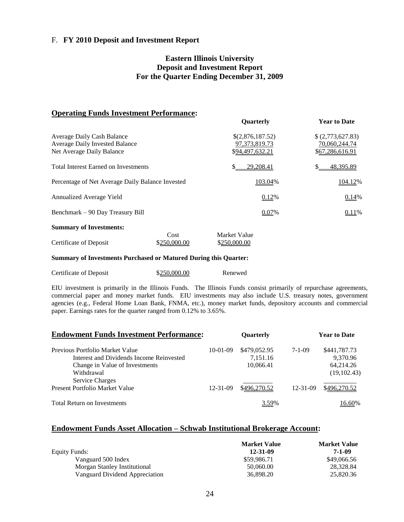#### F. **FY 2010 Deposit and Investment Report**

#### **Eastern Illinois University Deposit and Investment Report For the Quarter Ending December 31, 2009**

#### **Operating Funds Investment Performance:**

|                                                                                                  | <b>Ouarterly</b>                                        | <b>Year to Date</b>                                |
|--------------------------------------------------------------------------------------------------|---------------------------------------------------------|----------------------------------------------------|
| Average Daily Cash Balance<br><b>Average Daily Invested Balance</b><br>Net Average Daily Balance | \$(2,876,187.52)<br>97, 373, 819. 73<br>\$94,497,632.21 | (2,773,627.83)<br>70,060,244.74<br>\$67,286,616.91 |
| <b>Total Interest Earned on Investments</b>                                                      | 29,208.41<br>S.                                         | 48,395.89<br>S.                                    |
| Percentage of Net Average Daily Balance Invested                                                 | 103.04%                                                 | 104.12%                                            |
| Annualized Average Yield                                                                         | 0.12%                                                   | 0.14%                                              |
| Benchmark – 90 Day Treasury Bill                                                                 | 0.07%                                                   | 0.11%                                              |
| <b>Summary of Investments:</b>                                                                   |                                                         |                                                    |

|                        | Cost         | <b>Market Value</b> |
|------------------------|--------------|---------------------|
| Certificate of Deposit | \$250,000.00 | \$250,000.00        |

#### **Summary of Investments Purchased or Matured During this Quarter:**

| Certificate of Deposit | \$250,000.00 | Renewed |
|------------------------|--------------|---------|
|                        |              |         |

EIU investment is primarily in the Illinois Funds. The Illinois Funds consist primarily of repurchase agreements, commercial paper and money market funds. EIU investments may also include U.S. treasury notes, government agencies (e.g., Federal Home Loan Bank, FNMA, etc.), money market funds, depository accounts and commercial paper. Earnings rates for the quarter ranged from 0.12% to 3.65%.

| <b>Endowment Funds Investment Performance:</b> |                | Quarterly    |                |              |
|------------------------------------------------|----------------|--------------|----------------|--------------|
| Previous Portfolio Market Value                | $10-01-09$     | \$479,052.95 | 7-1-09         | \$441,787.73 |
| Interest and Dividends Income Reinvested       |                | 7,151.16     |                | 9,370.96     |
| Change in Value of Investments                 |                | 10,066.41    |                | 64,214.26    |
| Withdrawal                                     |                |              |                | (19,102.43)  |
| <b>Service Charges</b>                         |                |              |                |              |
| Present Portfolio Market Value                 | $12 - 31 - 09$ | \$496,270.52 | $12 - 31 - 09$ | \$496,270.52 |
| <b>Total Return on Investments</b>             |                | 3.59%        |                | 16.60%       |

#### **Endowment Funds Asset Allocation – Schwab Institutional Brokerage Account:**

|                                | <b>Market Value</b> | <b>Market Value</b> |
|--------------------------------|---------------------|---------------------|
| Equity Funds:                  | 12-31-09            | 7-1-09              |
| Vanguard 500 Index             | \$59,986.71         | \$49,066.56         |
| Morgan Stanley Institutional   | 50.060.00           | 28.328.84           |
| Vanguard Dividend Appreciation | 36,898.20           | 25,820.36           |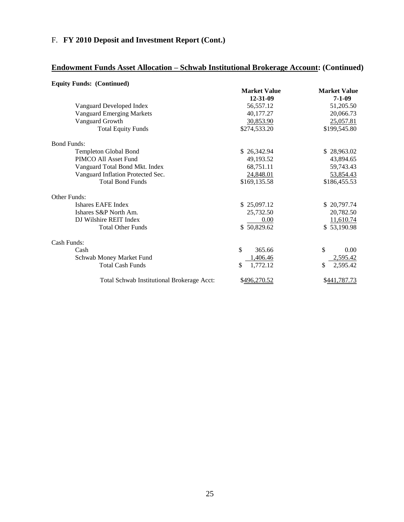# F. **FY 2010 Deposit and Investment Report (Cont.)**

# **Endowment Funds Asset Allocation – Schwab Institutional Brokerage Account: (Continued)**

| <b>Equity Funds: (Continued)</b>           |                     |                     |
|--------------------------------------------|---------------------|---------------------|
|                                            | <b>Market Value</b> | <b>Market Value</b> |
|                                            | 12-31-09            | $7 - 1 - 09$        |
| Vanguard Developed Index                   | 56,557.12           | 51,205.50           |
| <b>Vanguard Emerging Markets</b>           | 40,177.27           | 20,066.73           |
| Vanguard Growth                            | 30,853.90           | 25,057.81           |
| <b>Total Equity Funds</b>                  | \$274,533.20        | \$199,545.80        |
| <b>Bond Funds:</b>                         |                     |                     |
| Templeton Global Bond                      | \$26,342.94         | \$28,963.02         |
| PIMCO All Asset Fund                       | 49,193.52           | 43,894.65           |
| Vanguard Total Bond Mkt. Index             | 68,751.11           | 59,743.43           |
| Vanguard Inflation Protected Sec.          | 24,848.01           | 53,854.43           |
| <b>Total Bond Funds</b>                    | \$169,135.58        | \$186,455.53        |
| Other Funds:                               |                     |                     |
| Ishares EAFE Index                         | \$25,097.12         | \$20,797.74         |
| Ishares S&P North Am.                      | 25,732.50           | 20,782.50           |
| DJ Wilshire REIT Index                     | 0.00                | 11,610.74           |
| <b>Total Other Funds</b>                   | \$50,829.62         | \$53,190.98         |
| Cash Funds:                                |                     |                     |
| Cash                                       | \$<br>365.66        | \$<br>0.00          |
| Schwab Money Market Fund                   | 1,406.46            | 2,595.42            |
| <b>Total Cash Funds</b>                    | 1,772.12<br>\$      | \$<br>2,595.42      |
| Total Schwab Institutional Brokerage Acct: | \$496,270.52        | \$441,787.73        |

#### 25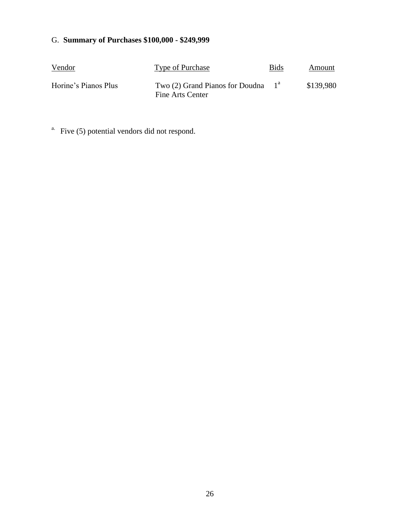# G. **Summary of Purchases \$100,000 - \$249,999**

| Vendor               | Type of Purchase                                           | <b>Bids</b> | Amount    |
|----------------------|------------------------------------------------------------|-------------|-----------|
| Horine's Pianos Plus | Two $(2)$ Grand Pianos for Doudna $1a$<br>Fine Arts Center |             | \$139,980 |

<sup>a.</sup> Five (5) potential vendors did not respond.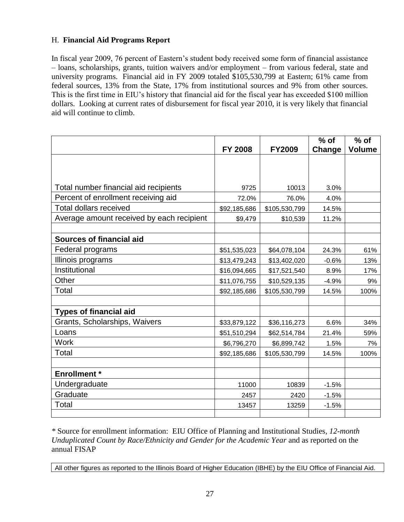## H. **Financial Aid Programs Report**

In fiscal year 2009, 76 percent of Eastern's student body received some form of financial assistance – loans, scholarships, grants, tuition waivers and/or employment – from various federal, state and university programs. Financial aid in FY 2009 totaled \$105,530,799 at Eastern; 61% came from federal sources, 13% from the State, 17% from institutional sources and 9% from other sources. This is the first time in EIU's history that financial aid for the fiscal year has exceeded \$100 million dollars. Looking at current rates of disbursement for fiscal year 2010, it is very likely that financial aid will continue to climb.

|                                           |                |               |         | $%$ of        |  |
|-------------------------------------------|----------------|---------------|---------|---------------|--|
|                                           | <b>FY 2008</b> | <b>FY2009</b> | Change  | <b>Volume</b> |  |
|                                           |                |               |         |               |  |
|                                           |                |               |         |               |  |
| Total number financial aid recipients     | 9725           | 10013         | 3.0%    |               |  |
| Percent of enrollment receiving aid       | 72.0%          | 76.0%         | 4.0%    |               |  |
| <b>Total dollars received</b>             | \$92,185,686   | \$105,530,799 | 14.5%   |               |  |
| Average amount received by each recipient | \$9,479        | \$10,539      | 11.2%   |               |  |
|                                           |                |               |         |               |  |
| <b>Sources of financial aid</b>           |                |               |         |               |  |
| Federal programs                          | \$51,535,023   | \$64,078,104  | 24.3%   | 61%           |  |
| Illinois programs                         | \$13,479,243   | \$13,402,020  | $-0.6%$ | 13%           |  |
| Institutional                             | \$16,094,665   | \$17,521,540  | 8.9%    | 17%           |  |
| Other                                     | \$11,076,755   | \$10,529,135  | $-4.9%$ | 9%            |  |
| Total                                     | \$92,185,686   | \$105,530,799 | 14.5%   | 100%          |  |
|                                           |                |               |         |               |  |
| <b>Types of financial aid</b>             |                |               |         |               |  |
| Grants, Scholarships, Waivers             | \$33,879,122   | \$36,116,273  | 6.6%    | 34%           |  |
| Loans                                     | \$51,510,294   | \$62,514,784  | 21.4%   | 59%           |  |
| <b>Work</b>                               | \$6,796,270    | \$6,899,742   | 1.5%    | 7%            |  |
| Total                                     | \$92,185,686   | \$105,530,799 | 14.5%   | 100%          |  |
|                                           |                |               |         |               |  |
| <b>Enrollment</b> *                       |                |               |         |               |  |
| Undergraduate                             | 11000          | 10839         | $-1.5%$ |               |  |
| Graduate                                  | 2457           | 2420          | $-1.5%$ |               |  |
| Total                                     | 13457          | 13259         | $-1.5%$ |               |  |
|                                           |                |               |         |               |  |

*\** Source for enrollment information: EIU Office of Planning and Institutional Studies*, 12-month Unduplicated Count by Race/Ethnicity and Gender for the Academic Year and as reported on the* annual FISAP

All other figures as reported to the Illinois Board of Higher Education (IBHE) by the EIU Office of Financial Aid.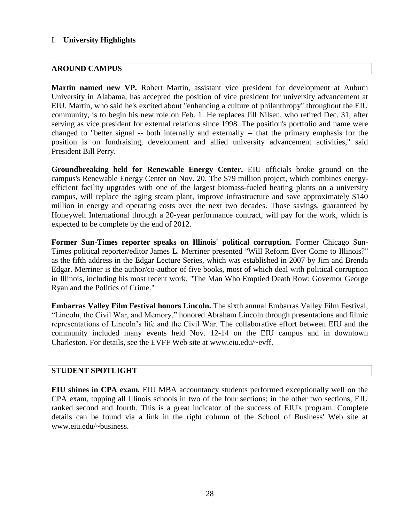### I. **University Highlights**

#### **AROUND CAMPUS**

**Martin named new VP.** Robert Martin, assistant vice president for development at Auburn University in Alabama, has accepted the position of vice president for university advancement at EIU. Martin, who said he's excited about "enhancing a culture of philanthropy" throughout the EIU community, is to begin his new role on Feb. 1. He replaces Jill Nilsen, who retired Dec. 31, after serving as vice president for external relations since 1998. The position's portfolio and name were changed to "better signal -- both internally and externally -- that the primary emphasis for the position is on fundraising, development and allied university advancement activities," said President Bill Perry.

**Groundbreaking held for Renewable Energy Center.** EIU officials broke ground on the campus's Renewable Energy Center on Nov. 20. The \$79 million project, which combines energyefficient facility upgrades with one of the largest biomass-fueled heating plants on a university campus, will replace the aging steam plant, improve infrastructure and save approximately \$140 million in energy and operating costs over the next two decades. Those savings, guaranteed by Honeywell International through a 20-year performance contract, will pay for the work, which is expected to be complete by the end of 2012.

**Former Sun-Times reporter speaks on Illinois' political corruption.** Former Chicago Sun-Times political reporter/editor James L. Merriner presented "Will Reform Ever Come to Illinois?" as the fifth address in the Edgar Lecture Series, which was established in 2007 by Jim and Brenda Edgar. Merriner is the author/co-author of five books, most of which deal with political corruption in Illinois, including his most recent work, "The Man Who Emptied Death Row: Governor George Ryan and the Politics of Crime."

**Embarras Valley Film Festival honors Lincoln.** The sixth annual Embarras Valley Film Festival, "Lincoln, the Civil War, and Memory," honored Abraham Lincoln through presentations and filmic representations of Lincoln's life and the Civil War. The collaborative effort between EIU and the community included many events held Nov. 12-14 on the EIU campus and in downtown Charleston. For details, see the EVFF Web site at www.eiu.edu/~evff.

#### **STUDENT SPOTLIGHT**

**EIU shines in CPA exam.** EIU MBA accountancy students performed exceptionally well on the CPA exam, topping all Illinois schools in two of the four sections; in the other two sections, EIU ranked second and fourth. This is a great indicator of the success of EIU's program. Complete details can be found via a link in the right column of the School of Business' Web site at www.eiu.edu/~business.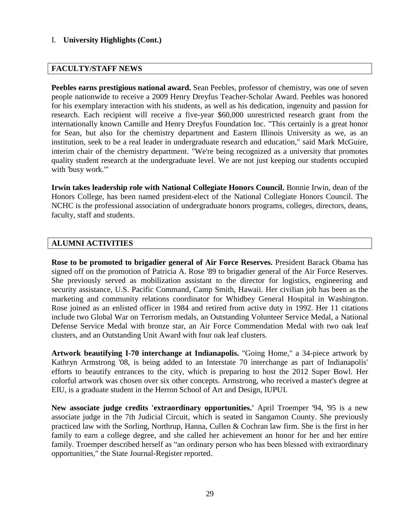### I. **University Highlights (Cont.)**

#### **FACULTY/STAFF NEWS**

**Peebles earns prestigious national award.** Sean Peebles, professor of chemistry, was one of seven people nationwide to receive a 2009 Henry Dreyfus Teacher-Scholar Award. Peebles was honored for his exemplary interaction with his students, as well as his dedication, ingenuity and passion for research. Each recipient will receive a five-year \$60,000 unrestricted research grant from the internationally known Camille and Henry Dreyfus Foundation Inc. "This certainly is a great honor for Sean, but also for the chemistry department and Eastern Illinois University as we, as an institution, seek to be a real leader in undergraduate research and education," said Mark McGuire, interim chair of the chemistry department. "We're being recognized as a university that promotes quality student research at the undergraduate level. We are not just keeping our students occupied with 'busy work.'"

**Irwin takes leadership role with National Collegiate Honors Council.** Bonnie Irwin, dean of the Honors College, has been named president-elect of the National Collegiate Honors Council. The NCHC is the professional association of undergraduate honors programs, colleges, directors, deans, faculty, staff and students.

#### **ALUMNI ACTIVITIES**

**Rose to be promoted to brigadier general of Air Force Reserves.** President Barack Obama has signed off on the promotion of Patricia A. Rose '89 to brigadier general of the Air Force Reserves. She previously served as mobilization assistant to the director for logistics, engineering and security assistance, U.S. Pacific Command, Camp Smith, Hawaii. Her civilian job has been as the marketing and community relations coordinator for Whidbey General Hospital in Washington. Rose joined as an enlisted officer in 1984 and retired from active duty in 1992. Her 11 citations include two Global War on Terrorism medals, an Outstanding Volunteer Service Medal, a National Defense Service Medal with bronze star, an Air Force Commendation Medal with two oak leaf clusters, and an Outstanding Unit Award with four oak leaf clusters.

**Artwork beautifying I-70 interchange at Indianapolis.** "Going Home," a 34-piece artwork by Kathryn Armstrong '08, is being added to an Interstate 70 interchange as part of Indianapolis' efforts to beautify entrances to the city, which is preparing to host the 2012 Super Bowl. Her colorful artwork was chosen over six other concepts. Armstrong, who received a master's degree at EIU, is a graduate student in the Herron School of Art and Design, IUPUI.

**New associate judge credits 'extraordinary opportunities.'** April Troemper '94, '95 is a new associate judge in the 7th Judicial Circuit, which is seated in Sangamon County. She previously practiced law with the Sorling, Northrup, Hanna, Cullen & Cochran law firm. She is the first in her family to earn a college degree, and she called her achievement an honor for her and her entire family. Troemper described herself as "an ordinary person who has been blessed with extraordinary opportunities," the State Journal-Register reported.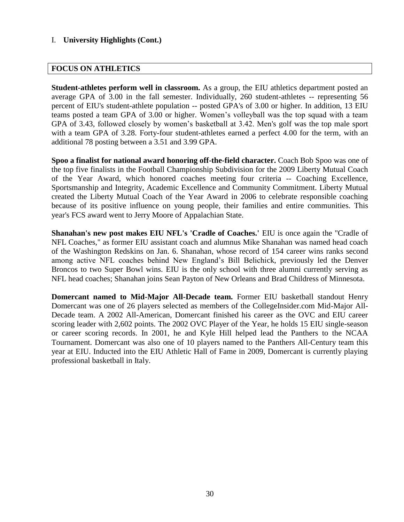### I. **University Highlights (Cont.)**

#### **FOCUS ON ATHLETICS**

**Student-athletes perform well in classroom.** As a group, the EIU athletics department posted an average GPA of 3.00 in the fall semester. Individually, 260 student-athletes -- representing 56 percent of EIU's student-athlete population -- posted GPA's of 3.00 or higher. In addition, 13 EIU teams posted a team GPA of 3.00 or higher. Women's volleyball was the top squad with a team GPA of 3.43, followed closely by women's basketball at 3.42. Men's golf was the top male sport with a team GPA of 3.28. Forty-four student-athletes earned a perfect 4.00 for the term, with an additional 78 posting between a 3.51 and 3.99 GPA.

**Spoo a finalist for national award honoring off-the-field character.** Coach Bob Spoo was one of the top five finalists in the Football Championship Subdivision for the 2009 Liberty Mutual Coach of the Year Award, which honored coaches meeting four criteria -- Coaching Excellence, Sportsmanship and Integrity, Academic Excellence and Community Commitment. Liberty Mutual created the Liberty Mutual Coach of the Year Award in 2006 to celebrate responsible coaching because of its positive influence on young people, their families and entire communities. This year's FCS award went to Jerry Moore of Appalachian State.

**Shanahan's new post makes EIU NFL's 'Cradle of Coaches.'** EIU is once again the "Cradle of NFL Coaches," as former EIU assistant coach and alumnus Mike Shanahan was named head coach of the Washington Redskins on Jan. 6. Shanahan, whose record of 154 career wins ranks second among active NFL coaches behind New England's Bill Belichick, previously led the Denver Broncos to two Super Bowl wins. EIU is the only school with three alumni currently serving as NFL head coaches; Shanahan joins Sean Payton of New Orleans and Brad Childress of Minnesota.

**Domercant named to Mid-Major All-Decade team.** Former EIU basketball standout Henry Domercant was one of 26 players selected as members of the CollegeInsider.com Mid-Major All-Decade team. A 2002 All-American, Domercant finished his career as the OVC and EIU career scoring leader with 2,602 points. The 2002 OVC Player of the Year, he holds 15 EIU single-season or career scoring records. In 2001, he and Kyle Hill helped lead the Panthers to the NCAA Tournament. Domercant was also one of 10 players named to the Panthers All-Century team this year at EIU. Inducted into the EIU Athletic Hall of Fame in 2009, Domercant is currently playing professional basketball in Italy.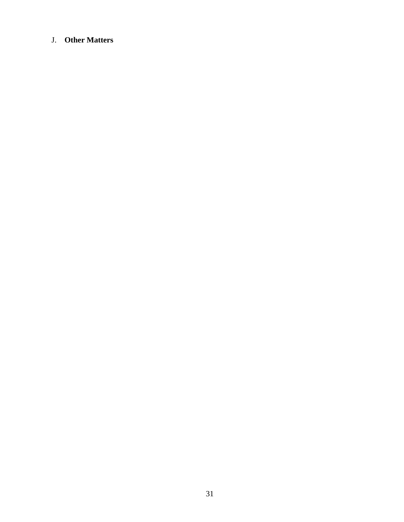## J. **Other Matters**